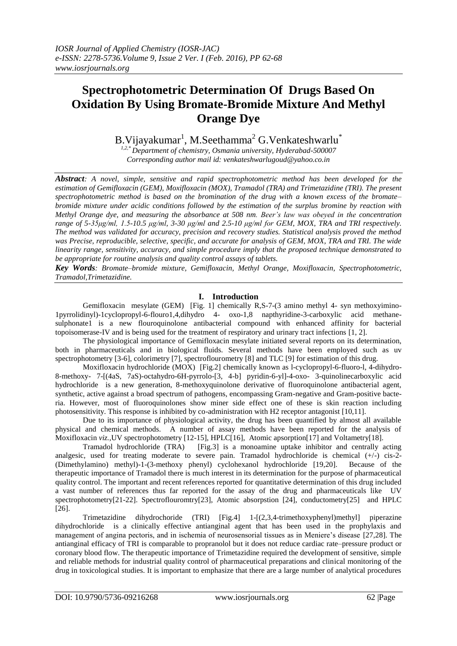# **Spectrophotometric Determination Of Drugs Based On Oxidation By Using Bromate-Bromide Mixture And Methyl Orange Dye**

B.Vijayakumar $^1$ , M.Seethamma $^2$  G.Venkateshwarlu $^*$ 

*1,2,\* Department of chemistry, Osmania university, Hyderabad-500007 Corresponding author mail id: venkateshwarlugoud@yahoo.co.in*

*Abstract: A novel, simple, sensitive and rapid spectrophotometric method has been developed for the estimation of Gemifloxacin (GEM), Moxifloxacin (MOX), Tramadol (TRA) and Trimetazidine (TRI). The present spectrophotometric method is based on the bromination of the drug with a known excess of the bromate– bromide mixture under acidic conditions followed by the estimation of the surplus bromine by reaction with Methyl Orange dye, and measuring the absorbance at 508 nm. Beer's law was obeyed in the concentration range of 5-35μg/ml, 1.5-10.5 μg/ml, 3-30 μg/ml and 2.5-10 μg/ml for GEM, MOX, TRA and TRI respectively. The method was validated for accuracy, precision and recovery studies. Statistical analysis proved the method was Precise, reproducible, selective, specific, and accurate for analysis of GEM, MOX, TRA and TRI. The wide linearity range, sensitivity, accuracy, and simple procedure imply that the proposed technique demonstrated to be appropriate for routine analysis and quality control assays of tablets.*

*Key Words: Bromate–bromide mixture, Gemifloxacin, Methyl Orange, Moxifloxacin, Spectrophotometric, Tramadol,Trimetazidine.*

## **I. Introduction**

Gemifloxacin mesylate (GEM) [Fig. 1] chemically R,S-7-(3 amino methyl 4- syn methoxyimino-1pyrrolidinyl)-1cyclopropyl-6-flouro1,4,dihydro 4- oxo-1,8 napthyridine-3-carboxylic acid methanesulphonate1 is a new flouroquinolone antibacterial compound with enhanced affinity for bacterial topoisomerase-IV and is being used for the treatment of respiratory and urinary tract infections [1, 2].

The physiological importance of Gemifloxacin mesylate initiated several reports on its determination, both in pharmaceuticals and in biological fluids. Several methods have been employed such as uv spectrophotometry [3-6], colorimetry [7], spectroflourometry [8] and TLC [9] for estimation of this drug.

Moxifloxacin hydrochloride (MOX) [Fig.2] chemically known as l-cyclopropyl-6-fluoro-l, 4-dihydro-8-methoxy- 7-[(4aS, 7aS)-octahydro-6H-pyrrolo-[3, 4-b] pyridin-6-yl]-4-oxo- 3-quinolinecarboxylic acid hydrochloride is a new generation, 8-methoxyquinolone derivative of fluoroquinolone antibacterial agent, synthetic, active against a broad spectrum of pathogens, encompassing Gram-negative and Gram-positive bacteria. However, most of fluoroquinolones show miner side effect one of these is skin reaction including photosensitivity. This response is inhibited by co-administration with H2 receptor antagonist [10,11].

Due to its importance of physiological activity, the drug has been quantified by almost all available physical and chemical methods. A number of assay methods have been reported for the analysis of Moxifloxacin *viz.,*UV spectrophotometry [12-15], HPLC[16], Atomic apsorption[17] and Voltametry[18].

Tramadol hydrochloride (TRA) [Fig.3] is a monoamine uptake inhibitor and centrally acting analgesic, used for treating moderate to severe pain. Tramadol hydrochloride is chemical  $(+)$  cis-2-(Dimethylamino) methyl)-1-(3-methoxy phenyl) cyclohexanol hydrochloride [19,20]. Because of the therapeutic importance of Tramadol there is much interest in its determination for the purpose of pharmaceutical quality control. The important and recent references reported for quantitative determination of this drug included a vast number of references thus far reported for the assay of the drug and pharmaceuticals like UV spectrophotometry[21-22]. Spectroflouromtry[23], Atomic absorpstion [24], conductometry[25] and HPLC [26].

Trimetazidine dihydrochoride (TRI) [Fig.4] 1-[(2,3,4-trimethoxyphenyl)methyl] piperazine dihydrochloride is a clinically effective antianginal agent that has been used in the prophylaxis and management of angina pectoris, and in ischemia of neurosensorial tissues as in Meniere's disease [27,28]. The antianginal efficacy of TRI is comparable to propranolol but it does not reduce cardiac rate–pressure product or coronary blood flow. The therapeutic importance of Trimetazidine required the development of sensitive, simple and reliable methods for industrial quality control of pharmaceutical preparations and clinical monitoring of the drug in toxicological studies. It is important to emphasize that there are a large number of analytical procedures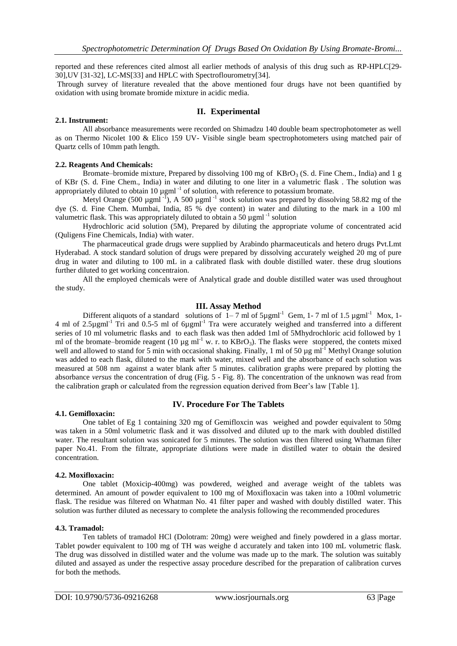reported and these references cited almost all earlier methods of analysis of this drug such as RP-HPLC[29- 30],UV [31-32], LC-MS[33] and HPLC with Spectroflourometry[34].

Through survey of literature revealed that the above mentioned four drugs have not been quantified by oxidation with using bromate bromide mixture in acidic media.

## **II. Experimental**

#### **2.1. Instrument:**

All absorbance measurements were recorded on Shimadzu 140 double beam spectrophotometer as well as on Thermo Nicolet 100 & Elico 159 UV- Visible single beam spectrophotometers using matched pair of Quartz cells of 10mm path length.

#### **2.2. Reagents And Chemicals:**

Bromate–bromide mixture, Prepared by dissolving 100 mg of  $KBrO<sub>3</sub>$  (S. d. Fine Chem., India) and 1 g of KBr (S. d. Fine Chem., India) in water and diluting to one liter in a valumetric flask . The solution was appropriately diluted to obtain 10  $\mu$ gml<sup>-1</sup> of solution, with reference to potassium bromate.

Metyl Orange (500  $\mu$ gml<sup>-I</sup>), A 500  $\mu$ gml<sup>-1</sup> stock solution was prepared by dissolving 58.82 mg of the dye (S. d. Fine Chem. Mumbai, India, 85 % dye content) in water and diluting to the mark in a 100 ml valumetric flask. This was appropriately diluted to obtain a 50  $\mu$ gml<sup>-1</sup> solution

Hydrochloric acid solution (5M), Prepared by diluting the appropriate volume of concentrated acid (Quligens Fine Chemicals, India) with water.

The pharmaceutical grade drugs were supplied by Arabindo pharmaceuticals and hetero drugs Pvt.Lmt Hyderabad. A stock standard solution of drugs were prepared by dissolving accurately weighed 20 mg of pure drug in water and diluting to 100 mL in a calibrated flask with double distilled water. these drug sloutions further diluted to get working concentraion.

All the employed chemicals were of Analytical grade and double distilled water was used throughout the study.

#### **III. Assay Method**

Different aliquots of a standard solutions of  $1-7$  ml of  $5\mu\text{g}m\text{l}^{-1}$  Gem, 1-7 ml of 1.5  $\mu\text{g}m\text{l}^{-1}$  Mox, 1-4 ml of 2.5µgml<sup>-1</sup> Tri and 0.5-5 ml of 6µgml<sup>-1</sup> Tra were accurately weighed and transferred into a different series of 10 ml volumetric flasks and to each flask was then added 1ml of 5Mhydrochloric acid followed by 1 ml of the bromate–bromide reagent (10  $\mu$ g ml<sup>-1</sup> w. r. to KBrO<sub>3</sub>). The flasks were stoppered, the contets mixed well and allowed to stand for 5 min with occasional shaking. Finally, 1 ml of 50  $\mu$ g ml<sup>-1</sup> Methyl Orange solution was added to each flask, diluted to the mark with water, mixed well and the absorbance of each solution was measured at 508 nm against a water blank after 5 minutes. calibration graphs were prepared by plotting the absorbance *versus* the concentration of drug (Fig. 5 - Fig. 8). The concentration of the unknown was read from the calibration graph or calculated from the regression equation derived from Beer's law [Table 1].

#### **4.1. Gemifloxacin:**

## **IV. Procedure For The Tablets**

One tablet of Eg 1 containing 320 mg of Gemifloxcin was weighed and powder equivalent to 50mg was taken in a 50ml volumetric flask and it was dissolved and diluted up to the mark with doubled distilled water. The resultant solution was sonicated for 5 minutes. The solution was then filtered using Whatman filter paper No.41. From the filtrate, appropriate dilutions were made in distilled water to obtain the desired concentration.

#### **4.2. Moxifloxacin:**

One tablet (Moxicip-400mg) was powdered, weighed and average weight of the tablets was determined. An amount of powder equivalent to 100 mg of Moxifloxacin was taken into a 100ml volumetric flask. The residue was filtered on Whatman No. 41 filter paper and washed with doubly distilled water. This solution was further diluted as necessary to complete the analysis following the recommended procedures

#### **4.3. Tramadol:**

Ten tablets of tramadol HCl (Dolotram: 20mg) were weighed and finely powdered in a glass mortar. Tablet powder equivalent to 100 mg of TH was weighe d accurately and taken into 100 mL volumetric flask. The drug was dissolved in distilled water and the volume was made up to the mark. The solution was suitably diluted and assayed as under the respective assay procedure described for the preparation of calibration curves for both the methods.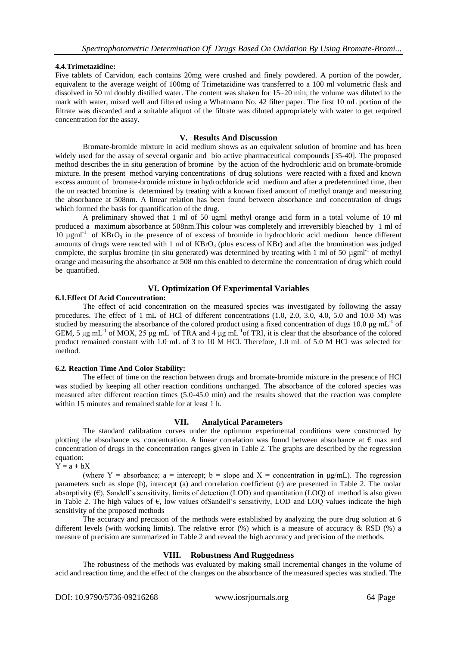## **4.4.Trimetazidine:**

Five tablets of Carvidon, each contains 20mg were crushed and finely powdered. A portion of the powder, equivalent to the average weight of 100mg of Trimetazidine was transferred to a 100 ml volumetric flask and dissolved in 50 ml doubly distilled water. The content was shaken for 15–20 min; the volume was diluted to the mark with water, mixed well and filtered using a Whatmann No. 42 filter paper. The first 10 mL portion of the filtrate was discarded and a suitable aliquot of the filtrate was diluted appropriately with water to get required concentration for the assay.

## **V. Results And Discussion**

Bromate-bromide mixture in acid medium shows as an equivalent solution of bromine and has been widely used for the assay of several organic and bio active pharmaceutical compounds [35-40]. The proposed method describes the in situ generation of bromine by the action of the hydrochloric acid on bromate-bromide mixture. In the present method varying concentrations of drug solutions were reacted with a fixed and known excess amount of bromate-bromide mixture in hydrochloride acid medium and after a predetermined time, then the un reacted bromine is determined by treating with a known fixed amount of methyl orange and measuring the absorbance at 508nm. A linear relation has been found between absorbance and concentration of drugs which formed the basis for quantification of the drug.

A preliminary showed that 1 ml of 50 ugml methyl orange acid form in a total volume of 10 ml produced a maximum absorbance at 508nm.This colour was completely and irreversibly bleached by 1 ml of  $10 \text{ µgml}^{-1}$  of KBrO<sub>3</sub> in the presence of of excess of bromide in hydrochloric acid medium hence different amounts of drugs were reacted with 1 ml of  $KBrO<sub>3</sub>$  (plus excess of  $KBr$ ) and after the bromination was judged complete, the surplus bromine (in situ generated) was determined by treating with 1 ml of 50  $\mu$ gml<sup>-1</sup> of methyl orange and measuring the absorbance at 508 nm this enabled to determine the concentration of drug which could be quantified.

# **VI. Optimization Of Experimental Variables**

## **6.1.Effect Of Acid Concentration:**

The effect of acid concentration on the measured species was investigated by following the assay procedures. The effect of 1 mL of HCl of different concentrations (1.0, 2.0, 3.0, 4.0, 5.0 and 10.0 M) was studied by measuring the absorbance of the colored product using a fixed concentration of dugs 10.0  $\mu$ g mL<sup>-1</sup> of GEM, 5  $\mu$ g mL<sup>-1</sup> of MOX, 25  $\mu$ g mL<sup>-1</sup> of TRA and 4  $\mu$ g mL<sup>-1</sup> of TRI, it is clear that the absorbance of the colored product remained constant with 1.0 mL of 3 to 10 M HCl. Therefore, 1.0 mL of 5.0 M HCl was selected for method.

## **6.2. Reaction Time And Color Stability:**

The effect of time on the reaction between drugs and bromate-bromide mixture in the presence of HCl was studied by keeping all other reaction conditions unchanged. The absorbance of the colored species was measured after different reaction times (5.0-45.0 min) and the results showed that the reaction was complete within 15 minutes and remained stable for at least 1 h.

## **VII. Analytical Parameters**

The standard calibration curves under the optimum experimental conditions were constructed by plotting the absorbance vs. concentration. A linear correlation was found between absorbance at  $\epsilon$  max and concentration of drugs in the concentration ranges given in Table 2. The graphs are described by the regression equation:

 $Y = a + bX$ 

(where Y = absorbance; a = intercept; b = slope and X = concentration in  $\mu\alpha/L$ ). The regression parameters such as slope (b), intercept (a) and correlation coefficient (r) are presented in Table 2. The molar absorptivity  $(\epsilon)$ , Sandell's sensitivity, limits of detection (LOD) and quantitation (LOO) of method is also given in Table 2. The high values of €, low values ofSandell's sensitivity, LOD and LOQ values indicate the high sensitivity of the proposed methods

The accuracy and precision of the methods were established by analyzing the pure drug solution at 6 different levels (with working limits). The relative error (%) which is a measure of accuracy & RSD (%) a measure of precision are summarized in Table 2 and reveal the high accuracy and precision of the methods.

## **VIII. Robustness And Ruggedness**

The robustness of the methods was evaluated by making small incremental changes in the volume of acid and reaction time, and the effect of the changes on the absorbance of the measured species was studied. The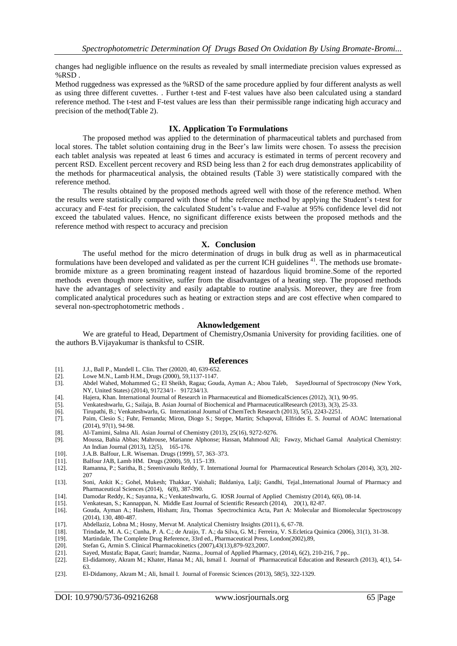changes had negligible influence on the results as revealed by small intermediate precision values expressed as %RSD .

Method ruggedness was expressed as the %RSD of the same procedure applied by four different analysts as well as using three different cuvettes. . Further t-test and F-test values have also been calculated using a standard reference method. The t-test and F-test values are less than their permissible range indicating high accuracy and precision of the method(Table 2).

## **IX. Application To Formulations**

The proposed method was applied to the determination of pharmaceutical tablets and purchased from local stores. The tablet solution containing drug in the Beer's law limits were chosen. To assess the precision each tablet analysis was repeated at least 6 times and accuracy is estimated in terms of percent recovery and percent RSD. Excellent percent recovery and RSD being less than 2 for each drug demonstrates applicability of the methods for pharmaceutical analysis, the obtained results (Table 3) were statistically compared with the reference method.

The results obtained by the proposed methods agreed well with those of the reference method. When the results were statistically compared with those of hthe reference method by applying the Student's t-test for accuracy and F-test for precision, the calculated Student's t-value and F-value at 95% confidence level did not exceed the tabulated values. Hence, no significant difference exists between the proposed methods and the reference method with respect to accuracy and precision

#### **X. Conclusion**

The useful method for the micro determination of drugs in bulk drug as well as in pharmaceutical formulations have been developed and validated as per the current ICH guidelines <sup>41</sup>. The methods use bromatebromide mixture as a green brominating reagent instead of hazardous liquid bromine.Some of the reported methods even though more sensitive, suffer from the disadvantages of a heating step. The proposed methods have the advantages of selectivity and easily adaptable to routine analysis. Moreover, they are free from complicated analytical procedures such as heating or extraction steps and are cost effective when compared to several non-spectrophotometric methods .

#### **Aknowledgement**

We are grateful to Head, Department of Chemistry,Osmania University for providing facilities. one of the authors B.Vijayakumar is thanksful to CSIR.

#### **References**

- [1]. J.J., Ball P., Mandell L. Clin. Ther (20020, 40, 639-652.
- [2]. Lowe M.N., Lamb H.M., Drugs (2000), 59,1137-1147.
- [3]. Abdel Wahed, Mohammed G.; El Sheikh, Ragaa; Gouda, Ayman A.; Abou Taleb, SayedJournal of Spectroscopy (New York, NY, United States) (2014), 917234/1- 917234/13.
- [4]. Hajera, Khan. International Journal of Research in Pharmaceutical and BiomedicalSciences (2012), 3(1), 90-95.
- [5]. Venkateshwarlu, G.; Sailaja, B. Asian Journal of Biochemical and PharmaceuticalResearch (2013), 3(3), 25-33.
- [6]. Tirupathi, B.; Venkateshwarlu, G. International Journal of ChemTech Research (2013), 5(5), 2243-2251.
- [7]. Paim, Clesio S.; Fuhr, Fernanda; Miron, Diogo S.; Steppe, Martin; Schapoval, Elfrides E. S. Journal of AOAC International (2014), 97(1), 94-98.
- [8]. Al-Tamimi, Salma Ali. Asian Journal of Chemistry (2013), 25(16), 9272-9276.
- [9]. Moussa, Bahia Abbas; Mahrouse, Marianne Alphonse; Hassan, Mahmoud Ali; Fawzy, Michael Gamal Analytical Chemistry: An Indian Journal (2013), 12(5), 165-176.
- [10]. J.A.B. Balfour, L.R. Wiseman. Drugs (1999), 57, 363–373.
- [11]. Balfour JAB, Lamb HM. Drugs (2000), 59, 115–139.
- [12]. Ramanna, P.; Saritha, B.; Sreenivasulu Reddy, T. International Journal for Pharmaceutical Research Scholars (2014), 3(3), 202- 207
- [13]. Soni, Ankit K.; Gohel, Mukesh; Thakkar, Vaishali; Baldaniya, Lalji; Gandhi, Tejal.,International Journal of Pharmacy and Pharmaceutical Sciences (2014), 6(8), 387-390.
- [14]. Damodar Reddy, K.; Sayanna, K.; Venkateshwarlu, G. IOSR Journal of Applied Chemistry (2014), 6(6), 08-14.
- [15]. Venkatesan, S.; Kannappan, N. Middle East Journal of Scientific Research (2014), 20(1), 82-87.
- [16]. Gouda, Ayman A.; Hashem, Hisham; Jira, Thomas Spectrochimica Acta, Part A: Molecular and Biomolecular Spectroscopy (2014), 130, 480-487.
- [17]. Abdellaziz, Lobna M.; Hosny, Mervat M. Analytical Chemistry Insights (2011), 6, 67-78.
- [18]. Trindade, M. A. G.; Cunha, P. A. C.; de Araijo, T. A.; da Silva, G. M.; Ferreira, V. S.Ecletica Quimica (2006), 31(1), 31-38. [19]. Martindale, The Complete Drug Reference, 33rd ed., Pharmaceutical Press, London(2002
- [19]. Martindale, The Complete Drug Reference, 33rd ed., Pharmaceutical Press, London(2002),89, [20]. Stefan G, Armin S. Clinical Pharmacokinetics (2007),43(13),879-923,2007.
- [20]. Stefan G, Armin S. Clinical Pharmacokinetics (2007),43(13),879-923,2007.
- [21]. Sayed, Mustafa; Bapat, Gauri; Inamdar, Nazma., Journal of Applied Pharmacy, (2014), 6(2), 210-216, 7 pp.. [22]. El-didamony, Akram M.; Khater, Hanaa M.; Ali, Ismail I. Journal of Pharmaceutical Education and Research (2013), 4(1), 54- 63.
- [23]. El-Didamony, Akram M.; Ali, Ismail I. Journal of Forensic Sciences (2013), 58(5), 322-1329.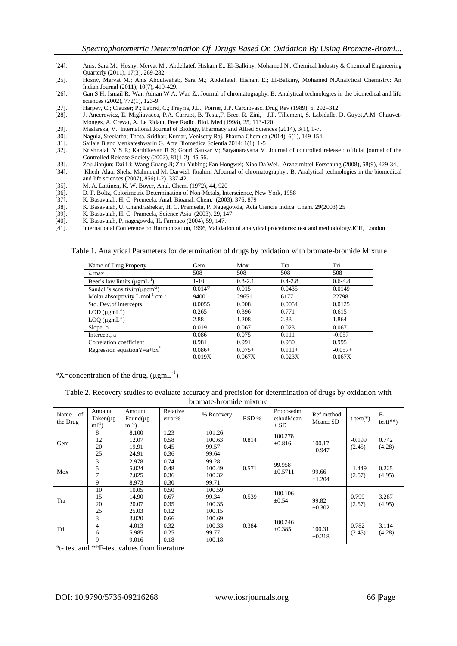- [24]. Anis, Sara M.; Hosny, Mervat M.; Abdellatef, Hisham E.; El-Balkiny, Mohamed N., Chemical Industry & Chemical Engineering Quarterly (2011), 17(3), 269-282.
- [25]. Hosny, Mervat M.; Anis Abdulwahab, Sara M.; Abdellatef, Hisham E.; El-Balkiny, Mohamed N.Analytical Chemistry: An Indian Journal (2011), 10(7), 419-429.
- [26]. Gan S H; Ismail R; Wan Adnan W A; Wan Z., Journal of chromatography. B, Analytical technologies in the biomedical and life sciences (2002), 772(1), 123-9.
- [27]. Harpey, C.; Clauser; P.; Labrid, C.; Freyria, J.L.; Poirier, J.P. Cardiovasc. Drug Rev (1989), 6, 292–312.
- [28]. J. Ancerewicz, E. Migliavacca, P.A. Carrupt, B. Testa,F. Bree, R. Zini, J.P. Tillement, S. Labidalle, D. Guyot,A.M. Chauvet-Monges, A. Crevat, A. Le Ridant, Free Radic. Biol. Med (1998), 25, 113-120.
- [29]. Maslarska, V. International Journal of Biology, Pharmacy and Allied Sciences (2014), 3(1), 1-7.
- [30]. Nagula, Sreelatha; Thota, Sridhar; Kumar, Venisetty Raj. Pharma Chemica (2014), 6(1), 149-154.
- [31]. Sailaja B and Venkateshwarlu G, Acta Biomedica Scientia 2014: 1(1), 1-5
- [32]. Krishnaiah Y S R; Karthikeyan R S; Gouri Sankar V; Satyanarayana V Journal of controlled release : official journal of the Controlled Release Society (2002), 81(1-2), 45-56.
- [33]. Zou Jianjun; Dai Li; Wang Guang Ji; Zhu Yubing; Fan Hongwei; Xiao Da Wei., Arzneimittel-Forschung (2008), 58(9), 429-34,
- [34]. Khedr Alaa; Sheha Mahmoud M; Darwish Ibrahim AJournal of chromatography., B, Analytical technologies in the biomedical and life sciences (2007), 856(1-2), 337-42.
- [35]. M. A. Laitinen, K. W. Boyer, Anal. Chem. (1972), 44, 920
- [36]. D. F. Boltz, Colorimetric Determination of Non-Metals, Interscience, New York, 1958
- [37]. K. Basavaiah, H. C. Premeela, Anal. Bioanal. Chem. (2003), 376, 879<br>[38]. K. Basavaiah, U. Chandrashekar, H. C. Prameela, P. Nagegowda, Acta
- [38]. K. Basavaiah, U. Chandrashekar, H. C. Prameela, P. Nagegowda, Acta Ciencia Indica Chem. **29**(2003) 25
- [39]. K. Basavaiah, H. C. Prameela, Science Asia (2003), 29, 147
- [40]. K. Basavaiah, P. nagegowda, IL Farmaco (2004), 59, 147.
- [41]. International Conference on Harmonization, 1996, Validation of analytical procedures: test and methodology.ICH, London

Table 1. Analytical Parameters for determination of drugs by oxidation with bromate-bromide Mixture

| Name of Drug Property                                   | Gem      | Mox         | Tra         | Tri         |
|---------------------------------------------------------|----------|-------------|-------------|-------------|
| $\lambda$ max                                           | 508      | 508         | 508         | 508         |
| Beer's law limits $(\mu g m L^{-1})$                    | $1-10$   | $0.3 - 2.1$ | $0.4 - 2.8$ | $0.6 - 4.8$ |
| Sandell's sensitivity ( $\mu$ gcm <sup>-2</sup> )       | 0.0147   | 0.015       | 0.0435      | 0.0149      |
| Molar absorptivity $L \text{ mol}^{-1} \text{ cm}^{-1}$ | 9400     | 29651       | 6177        | 22798       |
| Std. Dev.of intercepts                                  | 0.0055   | 0.008       | 0.0054      | 0.0125      |
| $LOD$ ( $\mu$ gmL <sup>-1</sup> )                       | 0.265    | 0.396       | 0.771       | 0.615       |
| $LOQ$ ( $\mu$ gmL <sup>-1</sup> )                       | 2.88     | 1.208       | 2.33        | 1.864       |
| Slope, b                                                | 0.019    | 0.067       | 0.023       | 0.067       |
| Intercept, a                                            | 0.086    | 0.075       | 0.111       | $-0.057$    |
| Correlation coefficient                                 | 0.981    | 0.991       | 0.980       | 0.995       |
| Regression equation $Y=a+bx^*$                          | $0.086+$ | $0.075+$    | $0.111 +$   | $-0.057+$   |
|                                                         | 0.019X   | 0.067X      | 0.023X      | 0.067X      |

\*X=concentration of the drug,  $(\mu g \text{m} L^{-1})$ 

Table 2. Recovery studies to evaluate accuracy and precision for determination of drugs by oxidation with bromate-bromide mixture

| of<br>Name<br>the Drug | Amount<br>$Taken(\mu g)$<br>$ml^{-1}$ | Amount<br>Found( $\mu$ g<br>$ml^{-1}$ | Relative<br>error%           | % Recovery                          | RSD % | Proposedm<br>ethodMean<br>$\pm$ SD | Ref method<br>$Mean \pm SD$ | $t-test(*)$        | $F-$<br>$test(**)$ |
|------------------------|---------------------------------------|---------------------------------------|------------------------------|-------------------------------------|-------|------------------------------------|-----------------------------|--------------------|--------------------|
| Gem                    | 8<br>12<br>20                         | 8.100<br>12.07<br>19.91               | 1.23<br>0.58<br>0.45         | 101.26<br>100.63<br>99.57           | 0.814 | 100.278<br>$\pm 0.816$             | 100.17                      | $-0.199$<br>(2.45) | 0.742<br>(4.28)    |
|                        | 25                                    | 24.91                                 | 0.36                         | 99.64                               |       |                                    | $\pm 0.947$                 |                    |                    |
| Mox                    | 3<br>5<br>9                           | 2.978<br>5.024<br>7.025<br>8.973      | 0.74<br>0.48<br>0.36<br>0.30 | 99.28<br>100.49<br>100.32<br>99.71  | 0.571 | 99.958<br>$\pm 0.5711$             | 99.66<br>±1.204             | $-1.449$<br>(2.57) | 0.225<br>(4.95)    |
| Tra                    | 10<br>15<br>20<br>25                  | 10.05<br>14.90<br>20.07<br>25.03      | 0.50<br>0.67<br>0.35<br>0.12 | 100.59<br>99.34<br>100.35<br>100.15 | 0.539 | 100.106<br>$\pm 0.54$              | 99.82<br>$\pm 0.302$        | 0.799<br>(2.57)    | 3.287<br>(4.95)    |
| Tri                    | 3<br>4<br>6<br>9                      | 3.020<br>4.013<br>5.985<br>9.016      | 0.66<br>0.32<br>0.25<br>0.18 | 100.69<br>100.33<br>99.77<br>100.18 | 0.384 | 100.246<br>$\pm 0.385$             | 100.31<br>$\pm 0.218$       | 0.782<br>(2.45)    | 3.114<br>(4.28)    |

\*t- test and \*\*F-test values from literature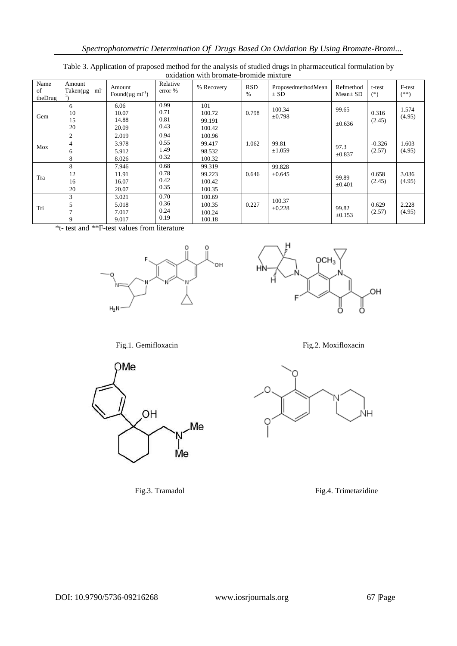| Name<br>of<br>theDrug | Amount<br>ml<br>$Taken(\mu g)$ | Amount<br>Found( $\mu$ g ml <sup>-1</sup> ) | Relative<br>error %          | % Recovery                           | <b>RSD</b><br>$\%$ | ProposedmethodMean<br>$\pm$ SD | Refmethod<br>$Mean \pm SD$ | t-test<br>$(*)$    | F-test<br>$(**)$ |
|-----------------------|--------------------------------|---------------------------------------------|------------------------------|--------------------------------------|--------------------|--------------------------------|----------------------------|--------------------|------------------|
| Gem                   | 6<br>10<br>15<br>20            | 6.06<br>10.07<br>14.88<br>20.09             | 0.99<br>0.71<br>0.81<br>0.43 | 101<br>100.72<br>99.191<br>100.42    | 0.798              | 100.34<br>$\pm 0.798$          | 99.65<br>$\pm 0.636$       | 0.316<br>(2.45)    | 1.574<br>(4.95)  |
| Mox                   | $\overline{2}$<br>4<br>6<br>8  | 2.019<br>3.978<br>5.912<br>8.026            | 0.94<br>0.55<br>1.49<br>0.32 | 100.96<br>99.417<br>98.532<br>100.32 | 1.062              | 99.81<br>±1.059                | 97.3<br>$\pm 0.837$        | $-0.326$<br>(2.57) | 1.603<br>(4.95)  |
| Tra                   | 8<br>12<br>16<br>20            | 7.946<br>11.91<br>16.07<br>20.07            | 0.68<br>0.78<br>0.42<br>0.35 | 99.319<br>99.223<br>100.42<br>100.35 | 0.646              | 99.828<br>$\pm 0.645$          | 99.89<br>$\pm 0.401$       | 0.658<br>(2.45)    | 3.036<br>(4.95)  |
| Tri                   | 3<br>5<br>9                    | 3.021<br>5.018<br>7.017<br>9.017            | 0.70<br>0.36<br>0.24<br>0.19 | 100.69<br>100.35<br>100.24<br>100.18 | 0.227              | 100.37<br>$\pm 0.228$          | 99.82<br>$\pm 0.153$       | 0.629<br>(2.57)    | 2.228<br>(4.95)  |

Table 3. Application of praposed method for the analysis of studied drugs in pharmaceutical formulation by oxidation with bromate-bromide mixture

\*t- test and \*\*F-test values from literature





Fig.1. Gemifloxacin Fig.2. Moxifloxacin





Fig.3. Tramadol Fig.4. Trimetazidine